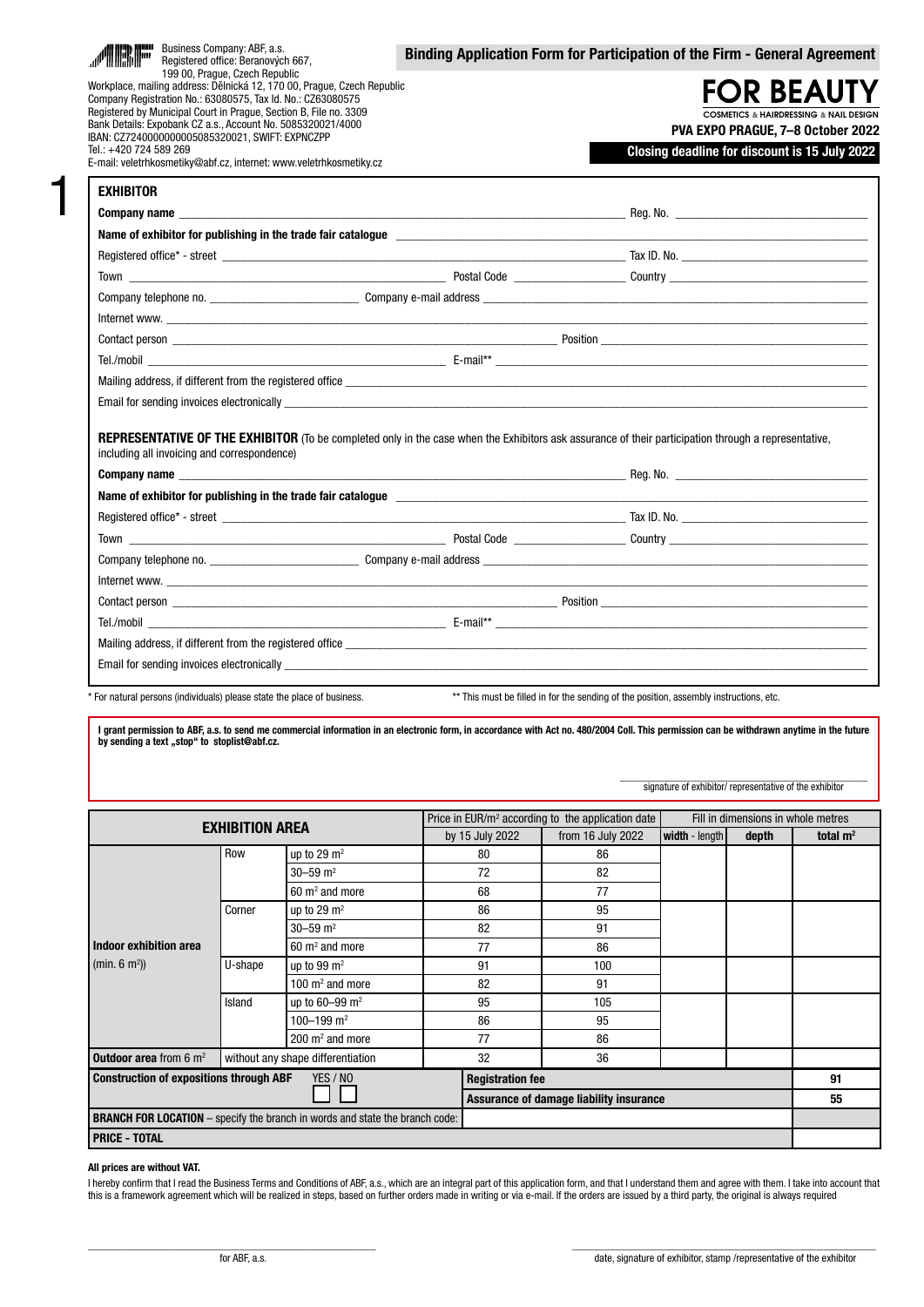| 1                                                                                                                                                                                                                                                                                                                                                                                                                                                                     | Business Company: ABF, a.s.<br>Registered office: Beranových 667, |                             | Binding Application Form for Participation of the Firm - General Agreement                                                                                                                                                       |                                                                                        |                                                         |                                    |                                                                                                                                                                  |  |
|-----------------------------------------------------------------------------------------------------------------------------------------------------------------------------------------------------------------------------------------------------------------------------------------------------------------------------------------------------------------------------------------------------------------------------------------------------------------------|-------------------------------------------------------------------|-----------------------------|----------------------------------------------------------------------------------------------------------------------------------------------------------------------------------------------------------------------------------|----------------------------------------------------------------------------------------|---------------------------------------------------------|------------------------------------|------------------------------------------------------------------------------------------------------------------------------------------------------------------|--|
| 199 00, Prague, Czech Republic<br>Workplace, mailing address: Dělnická 12, 170 00, Prague, Czech Republic<br>Company Registration No.: 63080575, Tax Id. No.: CZ63080575<br>Registered by Municipal Court in Prague, Section B, File no. 3309<br>Bank Details: Expobank CZ a.s., Account No. 5085320021/4000<br>IBAN: CZ7240000000005085320021, SWIFT: EXPNCZPP<br>Tel.: +420 724 589 269<br>E-mail: veletrhkosmetiky@abf.cz, internet: www.veletrhkosmetiky.cz       |                                                                   |                             |                                                                                                                                                                                                                                  |                                                                                        |                                                         |                                    | <b>FOR BEAUTY</b><br><b>COSMETICS &amp; HAIRDRESSING &amp; NAIL DESIGN</b><br>PVA EXPO PRAGUE, 7-8 October 2022<br>Closing deadline for discount is 15 July 2022 |  |
| <b>EXHIBITOR</b>                                                                                                                                                                                                                                                                                                                                                                                                                                                      |                                                                   |                             |                                                                                                                                                                                                                                  |                                                                                        |                                                         |                                    |                                                                                                                                                                  |  |
|                                                                                                                                                                                                                                                                                                                                                                                                                                                                       |                                                                   |                             | <b>Company name company name company in the company of the company of the company name in the company of the company of the company of the company of the company of the company of the company of the company of the compan</b> |                                                                                        |                                                         |                                    |                                                                                                                                                                  |  |
|                                                                                                                                                                                                                                                                                                                                                                                                                                                                       |                                                                   |                             | Name of exhibitor for publishing in the trade fair catalogue <b>contained a manufacture of exhibitor</b> for publishing                                                                                                          |                                                                                        |                                                         |                                    | the control of the control of the control of the control of the control of the control of                                                                        |  |
|                                                                                                                                                                                                                                                                                                                                                                                                                                                                       |                                                                   |                             |                                                                                                                                                                                                                                  |                                                                                        |                                                         |                                    |                                                                                                                                                                  |  |
|                                                                                                                                                                                                                                                                                                                                                                                                                                                                       |                                                                   |                             |                                                                                                                                                                                                                                  |                                                                                        |                                                         |                                    |                                                                                                                                                                  |  |
|                                                                                                                                                                                                                                                                                                                                                                                                                                                                       |                                                                   |                             |                                                                                                                                                                                                                                  |                                                                                        |                                                         |                                    |                                                                                                                                                                  |  |
|                                                                                                                                                                                                                                                                                                                                                                                                                                                                       |                                                                   |                             |                                                                                                                                                                                                                                  |                                                                                        |                                                         |                                    |                                                                                                                                                                  |  |
|                                                                                                                                                                                                                                                                                                                                                                                                                                                                       |                                                                   |                             |                                                                                                                                                                                                                                  |                                                                                        |                                                         |                                    |                                                                                                                                                                  |  |
|                                                                                                                                                                                                                                                                                                                                                                                                                                                                       |                                                                   |                             |                                                                                                                                                                                                                                  |                                                                                        |                                                         |                                    |                                                                                                                                                                  |  |
|                                                                                                                                                                                                                                                                                                                                                                                                                                                                       |                                                                   |                             |                                                                                                                                                                                                                                  |                                                                                        |                                                         |                                    |                                                                                                                                                                  |  |
|                                                                                                                                                                                                                                                                                                                                                                                                                                                                       |                                                                   |                             | Email for sending invoices electronically exercise the contract of the contract of the contract of the contract of the contract of the contract of the contract of the contract of the contract of the contract of the contrac   |                                                                                        |                                                         |                                    |                                                                                                                                                                  |  |
| Contact person <u>the contract of the contract of the contract of the contract of the contract person that contract of the contract of the contract of the contract of the contract of the contract of the contract of the contr</u><br>Email for sending invoices electronically and the common control of the common control of the common control of the common control of the common control of the common control of the common control of the common control of |                                                                   |                             |                                                                                                                                                                                                                                  |                                                                                        |                                                         |                                    |                                                                                                                                                                  |  |
| * For natural persons (individuals) please state the place of business.                                                                                                                                                                                                                                                                                                                                                                                               |                                                                   |                             |                                                                                                                                                                                                                                  | ** This must be filled in for the sending of the position, assembly instructions, etc. |                                                         |                                    |                                                                                                                                                                  |  |
| by sending a text "stop" to stoplist@abf.cz.                                                                                                                                                                                                                                                                                                                                                                                                                          |                                                                   |                             | I grant permission to ABF, a.s. to send me commercial information in an electronic form, in accordance with Act no. 480/2004 Coll. This permission can be withdrawn anytime in the future                                        |                                                                                        | signature of exhibitor/ representative of the exhibitor |                                    |                                                                                                                                                                  |  |
|                                                                                                                                                                                                                                                                                                                                                                                                                                                                       | <b>EXHIBITION AREA</b>                                            |                             | Price in EUR/m <sup>2</sup> according to the application date                                                                                                                                                                    |                                                                                        |                                                         | Fill in dimensions in whole metres |                                                                                                                                                                  |  |
|                                                                                                                                                                                                                                                                                                                                                                                                                                                                       | Row                                                               |                             | by 15 July 2022<br>80                                                                                                                                                                                                            | from 16 July 2022                                                                      | width - length                                          | depth                              | total $m2$                                                                                                                                                       |  |
|                                                                                                                                                                                                                                                                                                                                                                                                                                                                       |                                                                   | up to 29 $m2$<br>30-59 $m2$ | 72                                                                                                                                                                                                                               | 86<br>82                                                                               |                                                         |                                    |                                                                                                                                                                  |  |
|                                                                                                                                                                                                                                                                                                                                                                                                                                                                       |                                                                   | $60 \text{ m}^2$ and more   | 68                                                                                                                                                                                                                               | 77                                                                                     |                                                         |                                    |                                                                                                                                                                  |  |
|                                                                                                                                                                                                                                                                                                                                                                                                                                                                       | Corner                                                            | up to 29 $m2$               | 86                                                                                                                                                                                                                               | 95                                                                                     |                                                         |                                    |                                                                                                                                                                  |  |
|                                                                                                                                                                                                                                                                                                                                                                                                                                                                       |                                                                   | 30-59 $m2$                  | 82                                                                                                                                                                                                                               | 91                                                                                     |                                                         |                                    |                                                                                                                                                                  |  |
| <b>Indoor exhibition area</b>                                                                                                                                                                                                                                                                                                                                                                                                                                         |                                                                   | 60 m <sup>2</sup> and more  | 77                                                                                                                                                                                                                               | 86                                                                                     |                                                         |                                    |                                                                                                                                                                  |  |

I hereby confirm that I read the Business Terms and Conditions of ABF, a.s., which are an integral part of this application form, and that I understand them and agree with them. I take into account that this is a framework agreement which will be realized in steps, based on further orders made in writing or via e-mail. If the orders are issued by a third party, the original is always required

U-shape up to  $99 \text{ m}^2$  91 91 100

Island  $\frac{1}{2}$  up to 60–99 m<sup>2</sup> 105

**Outdoor area** from 6  $m^2$  without any shape differentiation  $32$  32 36

100 m<sup>2</sup> and more 1 82 1 91

 $100-199 \text{ m}^2$  86 95 200 m<sup>2</sup> and more **1988** and more **1988** and more **1988** and **1988** and **1988** and **1988** and **1988** and **1988** and **1988** and **1988** and **1988** and **1988** and **1988 1988 1988 1988 1988 1988 1988 1988 1988** 

Construction of expositions through ABF YES / NO<br>
Construction of expositions through ABF YES / NO<br>
Construction of expositions through ABF YES / NO

BRANCH FOR LOCATION – specify the branch in words and state the branch code:

 $(min. 6 m<sup>2</sup>))$ 

PRICE - TOTAL

All prices are without VAT.

1

Assurance of damage liability insurance **1998 1998 1998 1999 1999 1999 1999 1999 1999 1999 1999 1999 1999 1999 1999 1999 1999 1999 1999 1999 1999 1999 1999 1999 1999 1999**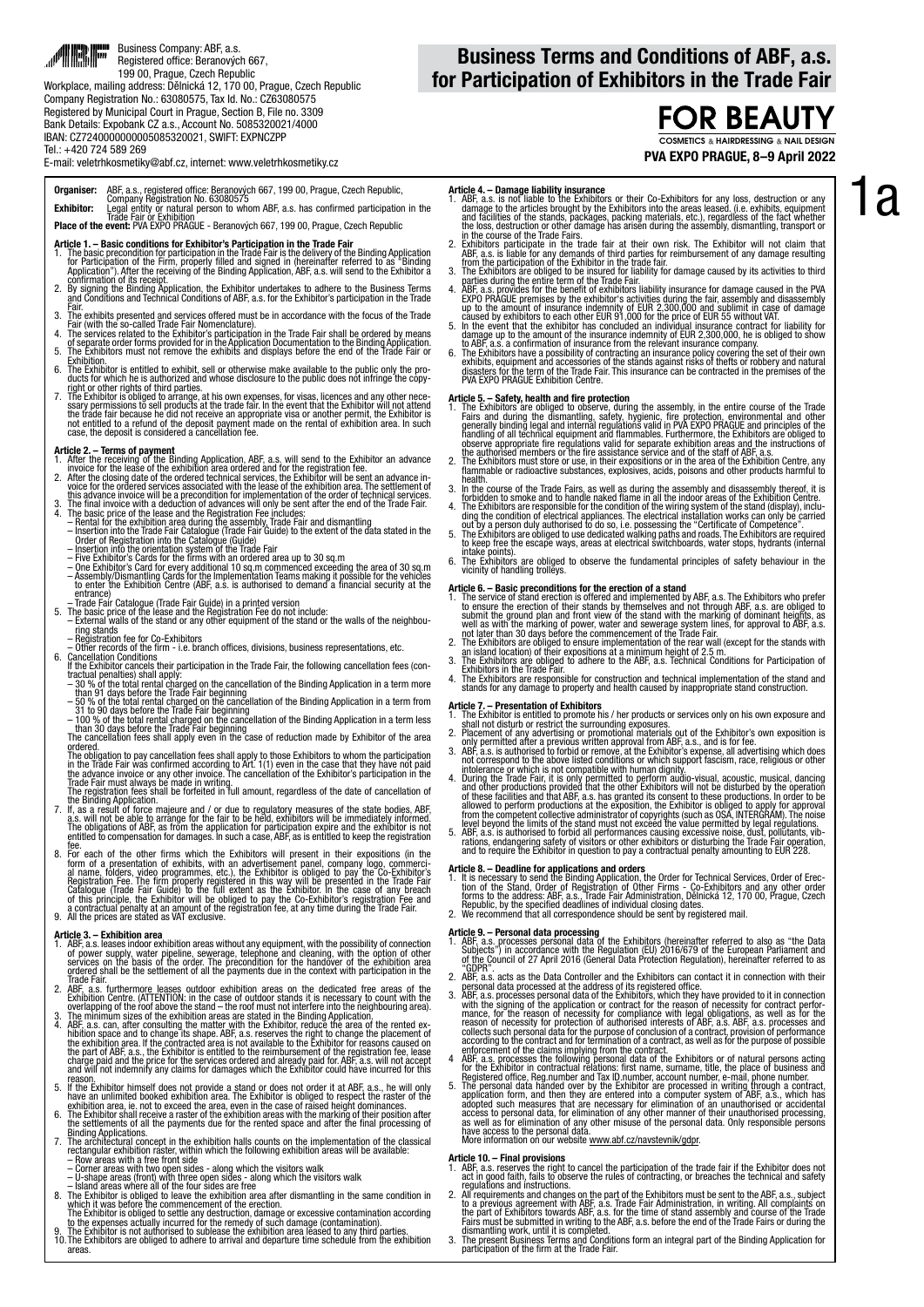### 1 Business Company: ABF, a.s. ا<br>اس Registered office: Beranových 667, 199 00, Prague, Czech Republic Workplace, mailing address: Dělnická 12, 170 00, Prague, Czech Republic Company Registration No.: 63080575, Tax Id. No.: CZ63080575 Registered by Municipal Court in Prague, Section B, File no. 3309

### Bank Details: Expobank CZ a.s., Account No. 5085320021/4000 IBAN: CZ7240000000005085320021, SWIFT: EXPNCZPP Tel.: +420 724 589 269

E-mail: veletrhkosmetiky@abf.cz, internet: www.veletrhkosmetiky.cz

E**xhibitor:** Legal entity or natural person to whom ABF, a.s. has confirmed participation in the<br>**Place of the event:** PVA e Exhibition<br>**Place of the event:** PVA EXPO PRAGUE - Beranových 667, 199 00, Prague, Czech Republic

### Article 1. – Basic conditions for Exhibitor's Participation in the Trade Fair

- 1. The basic precondition for participation in the Trade Fair is the delivery of the Binding Application.<br>6ro Participation of the Firm, properly filled and signed in (hereinafter referred to as<br>Application"). After the re
- 2. By signification of its receipt.<br>
2. By signification of its receipt.<br>
2. By signification of its receipt.<br>
2. By signification and Technical Conditions of ABF, a.s. for the Exhibitor's participation in the Trade
- 
- 
- Fair.<br>3. The exhibits presented and services offered must be in accordance with the focus of the Trade.<br>5. Fair (with the so-called Trade Fair Nomenclature).<br>4. The services related to the Exhibitor's participation in the
- 6. The Exhibitor is entitled to exhibit, sell or otherwise make available to the public only the pro- ducts for which he is authorized and whose disclosure to the public does not infringe the copy-
- right or other rights of third parties.<br>The Exhibitor is obliged to arrange, at his own expenses, for visas, licences and any other nece-<br>sary permissions to sell products at the trade fair. In the event that the Exhibitor
- 

- **Article 2. Terms of payment**<br>1. After the receiving of the Binding Application, ABF, a.s. will send to the Exhibitor an advance<br>1. After the clear of the exhibition area ordered and for the registration fee.<br>2. After th
- 
- 
- this advance invoice will be a precondition for implementation of the order of technical services.<br>3. The final invoice with a deduction of advances will only be sent after the end of the Trade Fair.<br>4. The basic price of
- 
- 
- 
- 
- entrance)<br>
Trade Fair Gatalogue (Trade Fair Guide) in a printed version<br>
5. The basic price of the lease and the Registration Fee do not include:<br>
 External walls of the stand or any other equipment of the stand or the wa
- 
- Other records of the firm i.e. branch offices, divisions, business representations, etc.<br>
6. Cancellation Conditions<br>
If the Exhibitor cancels their participation in the Trade Fair, the following cancellation fees (co
- 
- 
- 
- 

- The obligation to pay cancellation fees shall apply to those Exhibitors to whom the participation in the Trade Fair was continued according to Art. 1(1) even in the case that they have not paid in the Trade Fair must alway
- 8. For each of the other firms which the Exhibitors will present in their expositions (in the drim of a presentation of exhibits, with an advertisement panel, company logo, commercial aname, folders, video programmes, etc.

- **Article 3. Exhibition area** without any equipment, with the possibility of connection<br>1. ABF, a.s. leases indoor exhibition areas without any equipment, with the possibility of connection<br>of power supply, water pipeline
- Trade Fair.<br>2. ABF, a.s. furthermore leases outdoor exhibition areas on the dedicated free areas of the<br>Exhibition Centre. (ATTENTION: in the case of outdoor stands it is necessary to count with the overlapping of the roof above the stand – the roof must not interfere into the neighbouring area). 3. The minimum sizes of the exhibition areas are stated in the Binding Application.
- 4. ABF, a.s. can, after consulting the matter with the Exhibitor, reduce the area of the rented ex-<br>hibition space and to change its shape. ABF, a.s. reserves the rejard to change the placement of<br>the exhibition area. If
- reason.<br>5. If the Exhibitor himself does not provide a stand or does not order it at ABF, a.s., he will only<br>have an unlimited booked exhibition area. The Exhibitor is obliged to respect the raster of the
- exhibition area, ie. not to exceed the area, even in the case of raised height dominances.<br>6. The Exhibitor shall receive a raster of the exhibition areas with the marking of their position after<br>the settlements of all th
- Binding Applications.<br>
The architectural concept in the exhibition halls counts on the implementation of the classical<br>
rectangular exhibition raster, within which the following exhibition areas will be available:<br>
 Row a
- 
- 
- 
- The Exhibitor is obliged to settle any destruction, damage or excessive contamination according<br>to the expenses actually incurred for the remedy of such damage (contamination).<br>9. The Exhibitor is not authorised to subleas
- 10. The Exhibitors are obliged to adhere to arrival and departure time schedule from the exhibition areas.

## Business Terms and Conditions of ABF, a.s. for Participation of Exhibitors in the Trade Fair

## **FOR BEAUTY** COSMETICS & HAIRDRESSING & NAIL DESIGN

PVA EXPO PRAGUE, 8–9 April 2022

- Organiser: ABF, a.s., registered office: Beranových 667, 199 00, Prague, Czech Republic,<br>
Company Registration No. 63080575<br>
Legal entity or natural person to whom ABF, a.s. has confirmed participation in the damage to the **Article 4. – Damage liability insurance**<br>1. ABF, a.s. is not liable to the Exhibitors or their Co-Exhibitors for any loss, destruction or any<br>damage to the articles brought by the Exhibitors into the areas leased. (i.e. e
	-
	-
	- from the participation of the Exhibitor in the trade fair.<br>3. The Exhibitors are obliged to be insured for liability for damage caused by its activities to third<br>parties during the entire term of the Trade Fair.<br>4. ABF, a.
	-
	- to ABF, a.s. a confirmation of insurance from the relevant insurance company.<br>6. The Exhibitors have a possibility of contracting an insurance policy covering the set of their own<br>exhibits, equipment and accessories of the

- **Article 5. Safety, health and fire protection**<br>1. The Exhibitors are obliged to observe, during the assembly, in the entire course of the Trade<br>Tair Sam during the dismantling, safety, hygienic, fire protection, environ
- 
- health.<br>3. In the course of the Trade Fairs, as well as during the assembly and disassembly thereof, it is forbidden t<br>6. forbidden to smoke and to handle naked flame in all the indoor areas of the Exhibition Centre.
- 4. The Exhibitors are responsible for the condition of the wiring system of the stand (display), inclu- ding the condition of electrical appliances. The electrical installation works can only be carried
- out by a person duly authorised to do so, i.e. possessing the "Certificate of Competence".<br>5. The Exhibitors are obliged to use dedicated walking paths and roads. The Exhibitors are required<br>to keep free the escape ways, a
- intake points).<br>6. The Exhibitors are obliged to observe the fundamental principles of safety behaviour in the<br>vicinity of handling trolleys.

- **Article 6. Basic preconditions for the erection of a stand**<br>1. The service of stand erection is offered and implemented by ABF, a.s. The Exhibitors who prefer<br>to ensure the erection of their stands by themselves and no
- 
- 4. The Exhibitors are responsible for construction and technical implementation of the stand and<br>stands for any damage to property and health caused by inappropriate stand construction.

- 
- 
- **Article 7. Presentation of Exhibitors**<br>1. The Exhibitor is entitled to promote his / her products or services only on his own exposure and<br>1. The Exhibitor or restrict the surrounding exposures<br>2. Placement of any adverti
- intolerance or which is not compatible with human dignity.<br>A During the Trade Fair, it is only permitted to perform audio-visual, acoustic, musical, dancing<br>and other productions provided that the other Exhibitors will not
- 

**Article 8. – Deadline for applications and orders**<br>1. It is necessary to send the Binding Application, the Order for Technical Services, Order of Erec-<br>tion of the Stand, Order of Registration of Other Firms - Co-Exhibito

- **Article 9. Personal data processing**<br>1. ABF, a.s. processes personal data of the Exhibitors (hereinafter referred to also as "the Data"<br>5. Subjects") in accordance with the Regulation (EU) 2016/679 of the European Parli
- 2. ABF, a.s. acts as the Data Controller and the Exhibitors can contact it in connection with their
- 2. ABF, a.s. acts as the Data Controller and the Exhibitors can contact it in connection with their<br>gersonal data processed at the address of its registered office.<br>The same consesses personal data of the Exhibitors, which
- 
- Registered office, Reg.number and Tax ID number, account number, e-mail, phone number.<br>5. The personal data handed over by the Exhibitor are processed in writing through a contract,<br>application form, and then they are ent

Article 10. – Final provisions<br>1. ABF, a.s. reserves the right to cancel the participation of the trade fair if the Exhibitor does not<br>act in good faith, fails to observe the rules of contracting, or breaches the technical

- regulations and instructions.<br>
2. All requirements and changes on the part of the Exhibitors must be sent to the ABF, a.s., subject<br>
the part of the finite part of the finite part of the finite part of the part of Exhibito
- 

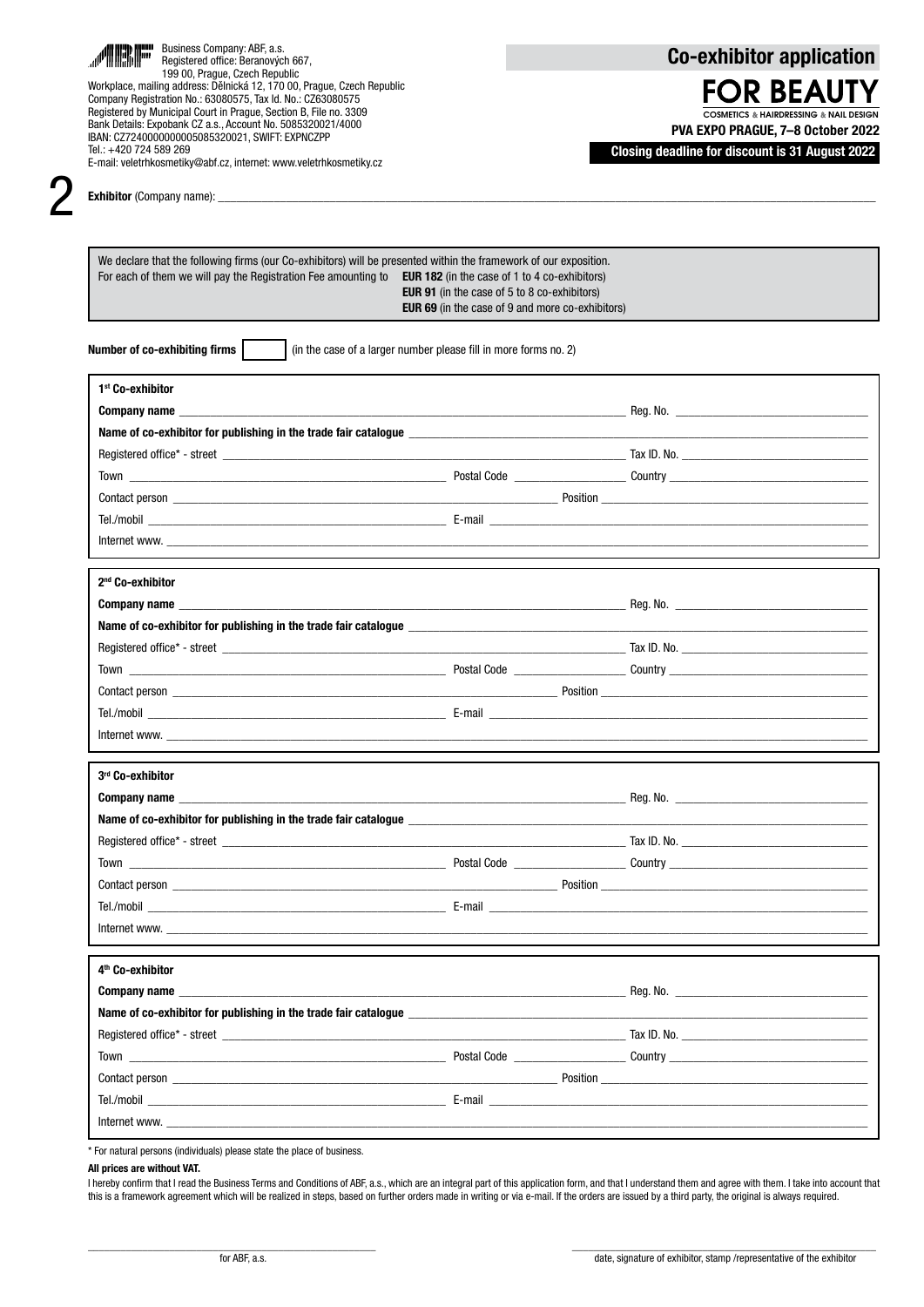|                              | Business Company: ABF, a.s.<br>Henistered of the Company: ABF, a.s.<br>Registered office: Beranových 667,                                                                |                                                                                                                                                                                                                                                                                                                                                     | <b>Co-exhibitor application</b>                                                                                                                                                                                                |  |
|------------------------------|--------------------------------------------------------------------------------------------------------------------------------------------------------------------------|-----------------------------------------------------------------------------------------------------------------------------------------------------------------------------------------------------------------------------------------------------------------------------------------------------------------------------------------------------|--------------------------------------------------------------------------------------------------------------------------------------------------------------------------------------------------------------------------------|--|
|                              | 199 00, Praque, Czech Republic<br>Workplace, mailing address: Dělnická 12, 170 00, Prague, Czech Republic<br>Company Registration No.: 63080575, Tax Id. No.: CZ63080575 |                                                                                                                                                                                                                                                                                                                                                     | <b>FOR BEAUTY</b>                                                                                                                                                                                                              |  |
|                              | Registered by Municipal Court in Prague, Section B, File no. 3309<br>Bank Details: Expobank CZ a.s., Account No. 5085320021/4000                                         |                                                                                                                                                                                                                                                                                                                                                     | <b>COSMETICS &amp; HAIRDRESSING &amp; NAIL DESIGN</b>                                                                                                                                                                          |  |
|                              | IBAN: CZ7240000000005085320021, SWIFT: EXPNCZPP                                                                                                                          |                                                                                                                                                                                                                                                                                                                                                     | PVA EXPO PRAGUE, 7-8 October 2022                                                                                                                                                                                              |  |
| Tel.: +420 724 589 269       | E-mail: veletrhkosmetiky@abf.cz, internet: www.veletrhkosmetiky.cz                                                                                                       |                                                                                                                                                                                                                                                                                                                                                     | Closing deadline for discount is 31 August 2022                                                                                                                                                                                |  |
|                              |                                                                                                                                                                          |                                                                                                                                                                                                                                                                                                                                                     |                                                                                                                                                                                                                                |  |
|                              |                                                                                                                                                                          |                                                                                                                                                                                                                                                                                                                                                     |                                                                                                                                                                                                                                |  |
|                              |                                                                                                                                                                          |                                                                                                                                                                                                                                                                                                                                                     |                                                                                                                                                                                                                                |  |
|                              |                                                                                                                                                                          | We declare that the following firms (our Co-exhibitors) will be presented within the framework of our exposition.<br>For each of them we will pay the Registration Fee amounting to EUR 182 (in the case of 1 to 4 co-exhibitors)<br><b>EUR 91</b> (in the case of 5 to 8 co-exhibitors)<br><b>EUR 69</b> (in the case of 9 and more co-exhibitors) |                                                                                                                                                                                                                                |  |
|                              | Number of co-exhibiting firms                                                                                                                                            | (in the case of a larger number please fill in more forms no. 2)                                                                                                                                                                                                                                                                                    |                                                                                                                                                                                                                                |  |
| 1 <sup>st</sup> Co-exhibitor |                                                                                                                                                                          |                                                                                                                                                                                                                                                                                                                                                     |                                                                                                                                                                                                                                |  |
|                              |                                                                                                                                                                          |                                                                                                                                                                                                                                                                                                                                                     |                                                                                                                                                                                                                                |  |
|                              |                                                                                                                                                                          |                                                                                                                                                                                                                                                                                                                                                     | Name of co-exhibitor for publishing in the trade fair catalogue                                                                                                                                                                |  |
|                              |                                                                                                                                                                          |                                                                                                                                                                                                                                                                                                                                                     |                                                                                                                                                                                                                                |  |
|                              |                                                                                                                                                                          |                                                                                                                                                                                                                                                                                                                                                     |                                                                                                                                                                                                                                |  |
|                              |                                                                                                                                                                          |                                                                                                                                                                                                                                                                                                                                                     |                                                                                                                                                                                                                                |  |
|                              |                                                                                                                                                                          |                                                                                                                                                                                                                                                                                                                                                     |                                                                                                                                                                                                                                |  |
|                              |                                                                                                                                                                          |                                                                                                                                                                                                                                                                                                                                                     |                                                                                                                                                                                                                                |  |
| 2 <sup>nd</sup> Co-exhibitor | Company name                                                                                                                                                             |                                                                                                                                                                                                                                                                                                                                                     |                                                                                                                                                                                                                                |  |
|                              |                                                                                                                                                                          |                                                                                                                                                                                                                                                                                                                                                     | Name of co-exhibitor for publishing in the trade fair catalogue entity and the content of the content of the content of the content of the content of the content of the content of the content of the content of the content  |  |
|                              |                                                                                                                                                                          |                                                                                                                                                                                                                                                                                                                                                     |                                                                                                                                                                                                                                |  |
|                              |                                                                                                                                                                          |                                                                                                                                                                                                                                                                                                                                                     |                                                                                                                                                                                                                                |  |
|                              |                                                                                                                                                                          |                                                                                                                                                                                                                                                                                                                                                     |                                                                                                                                                                                                                                |  |
|                              |                                                                                                                                                                          |                                                                                                                                                                                                                                                                                                                                                     |                                                                                                                                                                                                                                |  |
| Internet www.                |                                                                                                                                                                          |                                                                                                                                                                                                                                                                                                                                                     |                                                                                                                                                                                                                                |  |
| 3rd Co-exhibitor             |                                                                                                                                                                          |                                                                                                                                                                                                                                                                                                                                                     |                                                                                                                                                                                                                                |  |
|                              |                                                                                                                                                                          | Company name entertainment and the company of the contract of the contract of the contract of the contract of                                                                                                                                                                                                                                       |                                                                                                                                                                                                                                |  |
|                              |                                                                                                                                                                          |                                                                                                                                                                                                                                                                                                                                                     |                                                                                                                                                                                                                                |  |
|                              |                                                                                                                                                                          |                                                                                                                                                                                                                                                                                                                                                     |                                                                                                                                                                                                                                |  |
|                              |                                                                                                                                                                          |                                                                                                                                                                                                                                                                                                                                                     |                                                                                                                                                                                                                                |  |
|                              |                                                                                                                                                                          |                                                                                                                                                                                                                                                                                                                                                     | Contact person contact the contact person contact the contact person contact person contact person contact person contact person contact person contact person contact person contact person contact person contact person con |  |
|                              |                                                                                                                                                                          |                                                                                                                                                                                                                                                                                                                                                     |                                                                                                                                                                                                                                |  |
|                              |                                                                                                                                                                          |                                                                                                                                                                                                                                                                                                                                                     |                                                                                                                                                                                                                                |  |
| 4 <sup>th</sup> Co-exhibitor |                                                                                                                                                                          |                                                                                                                                                                                                                                                                                                                                                     |                                                                                                                                                                                                                                |  |
|                              |                                                                                                                                                                          | Company name experience and the contract of the contract of the contract of the contract of the contract of the contract of the contract of the contract of the contract of the contract of the contract of the contract of th                                                                                                                      |                                                                                                                                                                                                                                |  |
|                              |                                                                                                                                                                          |                                                                                                                                                                                                                                                                                                                                                     | Name of co-exhibitor for publishing in the trade fair catalogue <b>contained a contained a contained by the contained a</b>                                                                                                    |  |
|                              |                                                                                                                                                                          |                                                                                                                                                                                                                                                                                                                                                     |                                                                                                                                                                                                                                |  |
|                              |                                                                                                                                                                          |                                                                                                                                                                                                                                                                                                                                                     |                                                                                                                                                                                                                                |  |
|                              |                                                                                                                                                                          |                                                                                                                                                                                                                                                                                                                                                     |                                                                                                                                                                                                                                |  |
|                              |                                                                                                                                                                          |                                                                                                                                                                                                                                                                                                                                                     |                                                                                                                                                                                                                                |  |
|                              |                                                                                                                                                                          |                                                                                                                                                                                                                                                                                                                                                     |                                                                                                                                                                                                                                |  |

\* For natural persons (individuals) please state the place of business.

### All prices are without VAT.

I hereby confirm that I read the Business Terms and Conditions of ABF, a.s., which are an integral part of this application form, and that I understand them and agree with them. I take into account that this is a framework agreement which will be realized in steps, based on further orders made in writing or via e-mail. If the orders are issued by a third party, the original is always required.

 $\_$  , and the state of the state of the state of the state of the state of the state of the state of the state of the state of the state of the state of the state of the state of the state of the state of the state of the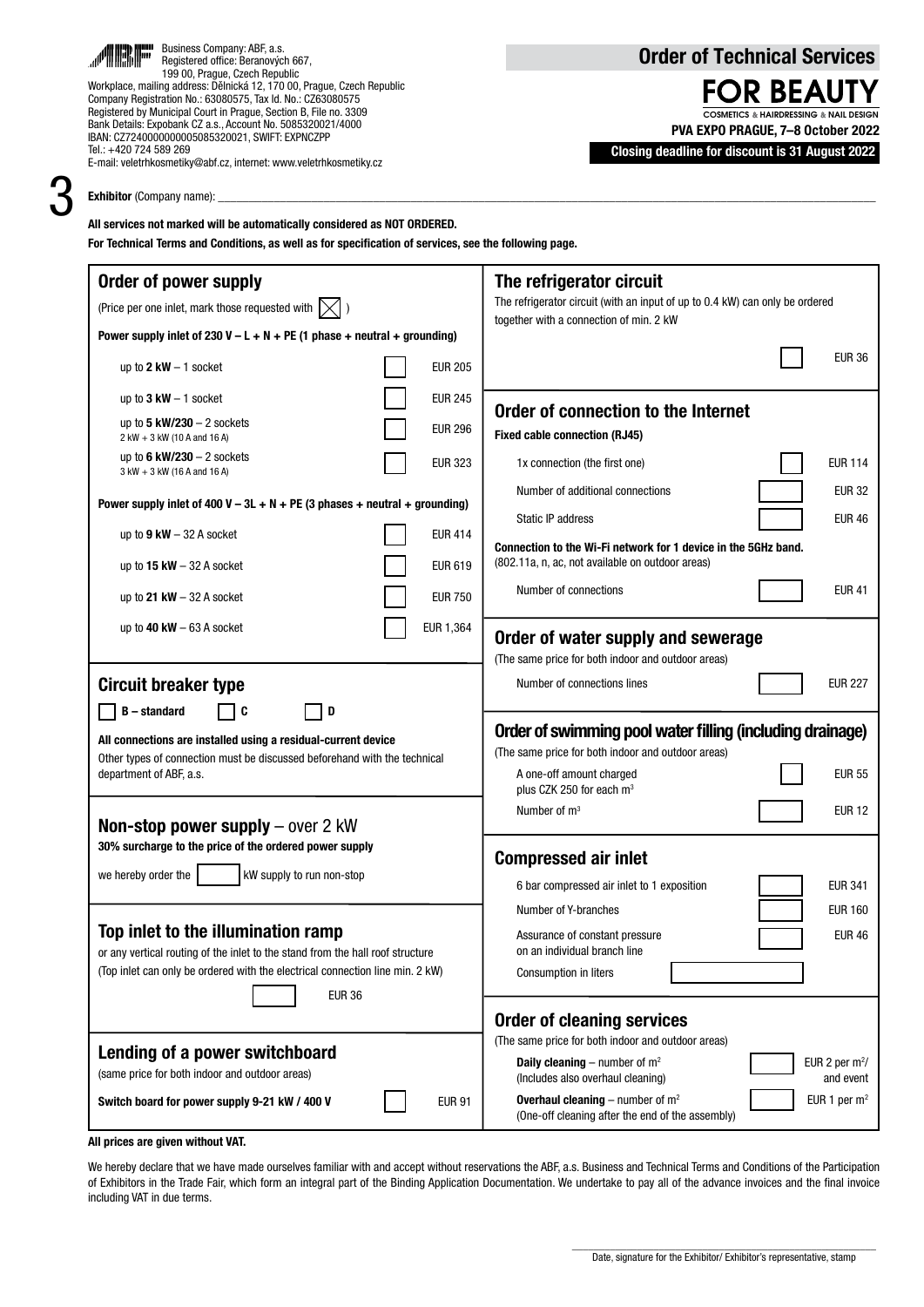

Business Company: ABF, a.s. Registered office: Beranových 667, 199 00, Prague, Czech Republic Workplace, mailing address: Dělnická 12, 170 00, Prague, Czech Republic Company Registration No.: 63080575, Tax Id. No.: CZ63080575 Registered by Municipal Court in Prague, Section B, File no. 3309 Bank Details: Expobank CZ a.s., Account No. 5085320021/4000

IBAN: CZ7240000000005085320021, SWIFT: EXPNCZPP Tel: +420 724 589 269 E-mail: veletrhkosmetiky@abf.cz, internet: www.veletrhkosmetiky.cz Order of Technical Services

**FOR BEAUTY** 

PVA EXPO PRAGUE, 7–8 October 2022 **COSMETICS & HAIRDRESSING & NAIL DESIGN** 

Closing deadline for discount is 31 August 2022

3

Exhibitor (Company name):

### All services not marked will be automatically considered as NOT ORDERED.

For Technical Terms and Conditions, as well as for specification of services, see the following page.

| <b>Order of power supply</b>                                                                   | The refrigerator circuit                                                                                                |  |  |  |
|------------------------------------------------------------------------------------------------|-------------------------------------------------------------------------------------------------------------------------|--|--|--|
| (Price per one inlet, mark those requested with $\vert \times \vert$ )                         | The refrigerator circuit (with an input of up to 0.4 kW) can only be ordered<br>together with a connection of min. 2 kW |  |  |  |
| Power supply inlet of 230 V - L + N + PE (1 phase + neutral + grounding)                       |                                                                                                                         |  |  |  |
| <b>EUR 205</b><br>up to $2$ kW $-$ 1 socket                                                    | <b>EUR 36</b>                                                                                                           |  |  |  |
| <b>EUR 245</b><br>up to $3 \text{ kW} - 1 \text{ socket}$                                      | Order of connection to the Internet                                                                                     |  |  |  |
| up to 5 $kW/230 - 2$ sockets<br><b>EUR 296</b><br>$2$ kW + 3 kW (10 A and 16 A)                | <b>Fixed cable connection (RJ45)</b>                                                                                    |  |  |  |
| up to 6 $kW/230 - 2$ sockets<br><b>EUR 323</b><br>3 kW + 3 kW (16 A and 16 A)                  | <b>EUR 114</b><br>1x connection (the first one)                                                                         |  |  |  |
| Power supply inlet of 400 V - 3L + N + PE (3 phases + neutral + grounding)                     | Number of additional connections<br><b>EUR 32</b>                                                                       |  |  |  |
| <b>EUR 414</b>                                                                                 | Static IP address<br><b>EUR 46</b>                                                                                      |  |  |  |
| up to $9$ kW $-$ 32 A socket<br><b>EUR 619</b><br>up to $15$ kW $-$ 32 A socket                | Connection to the Wi-Fi network for 1 device in the 5GHz band.<br>(802.11a, n, ac, not available on outdoor areas)      |  |  |  |
| <b>EUR 750</b><br>up to 21 $kW - 32$ A socket                                                  | Number of connections<br><b>EUR 41</b>                                                                                  |  |  |  |
| EUR 1,364<br>up to 40 $kW - 63$ A socket                                                       | Order of water supply and sewerage<br>(The same price for both indoor and outdoor areas)                                |  |  |  |
| <b>Circuit breaker type</b>                                                                    | Number of connections lines<br><b>EUR 227</b>                                                                           |  |  |  |
| <b>B</b> – standard<br>C<br>D                                                                  |                                                                                                                         |  |  |  |
| All connections are installed using a residual-current device                                  | Order of swimming pool water filling (including drainage)                                                               |  |  |  |
| Other types of connection must be discussed beforehand with the technical                      | (The same price for both indoor and outdoor areas)<br><b>EUR 55</b><br>A one-off amount charged                         |  |  |  |
| department of ABF, a.s.                                                                        | plus CZK 250 for each m <sup>3</sup>                                                                                    |  |  |  |
| Non-stop power supply – over 2 kW                                                              | Number of $m3$<br><b>EUR 12</b>                                                                                         |  |  |  |
| 30% surcharge to the price of the ordered power supply                                         | <b>Compressed air inlet</b>                                                                                             |  |  |  |
| we hereby order the<br>kW supply to run non-stop                                               | 6 bar compressed air inlet to 1 exposition<br><b>EUR 341</b>                                                            |  |  |  |
|                                                                                                | Number of Y-branches<br><b>EUR 160</b>                                                                                  |  |  |  |
| Top inlet to the illumination ramp                                                             | <b>EUR 46</b><br>Assurance of constant pressure                                                                         |  |  |  |
| or any vertical routing of the inlet to the stand from the hall roof structure                 | on an individual branch line                                                                                            |  |  |  |
| (Top inlet can only be ordered with the electrical connection line min. 2 kW)<br><b>EUR 36</b> | Consumption in liters                                                                                                   |  |  |  |
|                                                                                                | <b>Order of cleaning services</b>                                                                                       |  |  |  |
| Lending of a power switchboard                                                                 | (The same price for both indoor and outdoor areas)                                                                      |  |  |  |
| (same price for both indoor and outdoor areas)                                                 | <b>Daily cleaning</b> – number of $m^2$<br>EUR 2 per $m^2$ /<br>(Includes also overhaul cleaning)<br>and event          |  |  |  |
| Switch board for power supply 9-21 kW / 400 V<br><b>EUR 91</b>                                 | EUR 1 per $m2$<br><b>Overhaul cleaning</b> – number of $m^2$<br>(One-off cleaning after the end of the assembly)        |  |  |  |

All prices are given without VAT.

We hereby declare that we have made ourselves familiar with and accept without reservations the ABF, a.s. Business and Technical Terms and Conditions of the Participation of Exhibitors in the Trade Fair, which form an integral part of the Binding Application Documentation. We undertake to pay all of the advance invoices and the final invoice including VAT in due terms.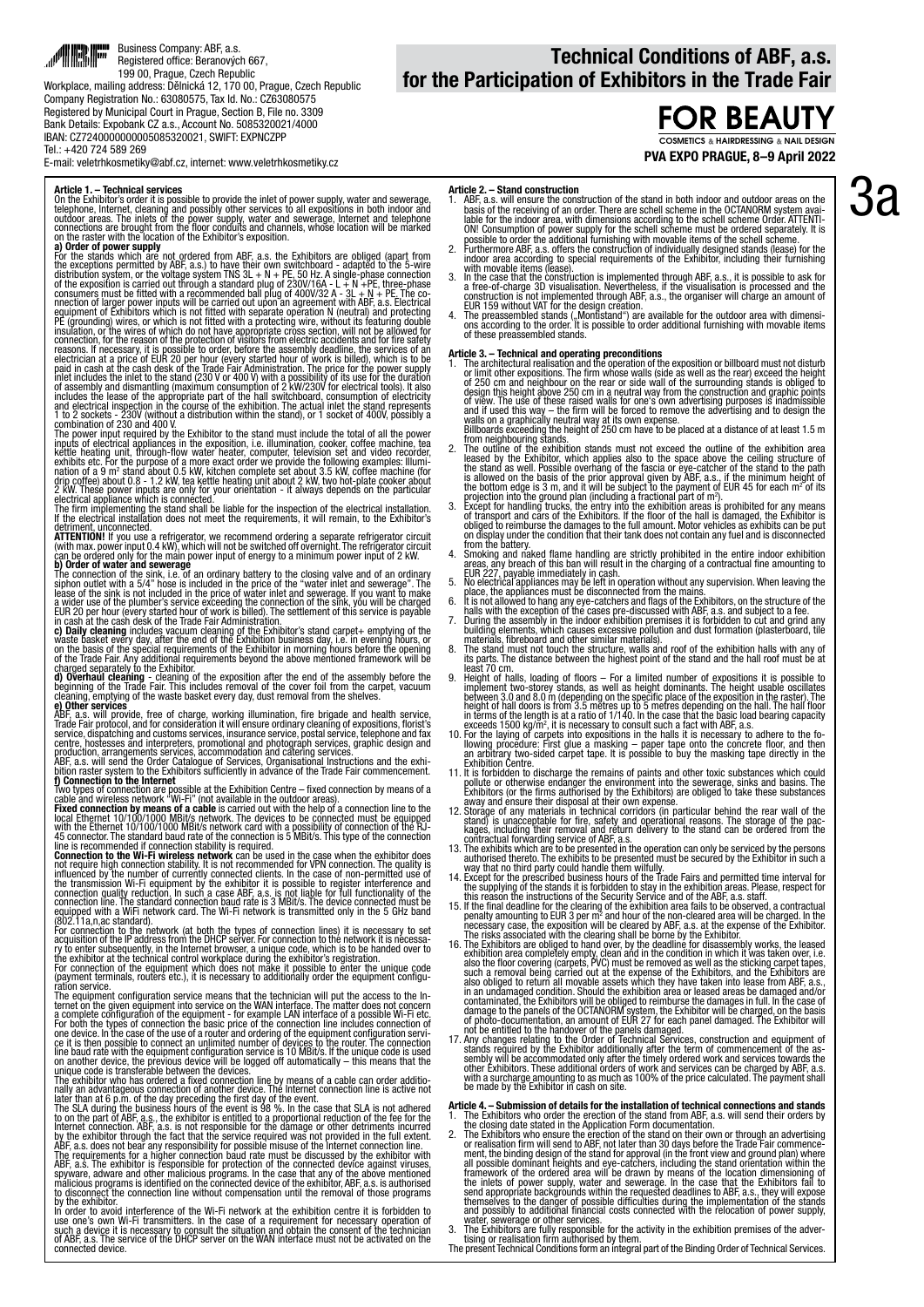

### E-mail: veletrhkosmetiky@abf.cz, internet: www.veletrhkosmetiky.cz

On the Exhibitor's order it is possible to provide the inlet of power supply, water and sewerage,<br>telephone, Internet, cleaning and possibly other services to all expositions in both indoor and<br>outdoor areas. The inlets of

**a) Order of power supply**<br>For the stands which are not ordered from ABF, a.s. the Exhibitors are obliged (apart from<br>fthe exceptions permitted by ABF, a.s.) to have their own switchboard - adapted to the 5-wire<br>distribut

inputs of electrical appliances in the exposition, i.e. illumination, cooker, coffee machine, teat<br>kettle heating unit, through-flow water heater, computer, television set and video recorder,<br>exhibits etc. For the purpose

detriment, unconnected.<br>
ATTENTION! If you use a refrigerator, we recommend ordering a separate refrigerator circuit<br>
ATTENTION! If you use a refrigerator will not be switched off overnight. The refrigerator circuit<br>
can b

Trade Fair profocol, and for consideration it will ensure ordinal profocol, and for sometions, florist's<br>service, dispatching and customs services, insurance service, postal service, delephone and fax<br>centre, hostesses and

ternet of the given equipment into service on the WAN litterface. The matter does not concerned to the given between the best of the connection of the equipment - for example LAN interface of a possible Wi-FietC-<br>For both

## Technical Conditions of ABF, a.s. for the Participation of Exhibitors in the Trade Fair

## **FOR BEAUTY** COSMETICS & HAIRDRESSING & NAIL DESIGN

PVA EXPO PRAGUE, 8–9 April 2022

- Article 1. Technical services<br>On the Exhibitor's order it is possible to provide the inlet of power supply, water and sewerage,<br>telephone, Internet, cleaning and possibly other services to all expositions in both indoor **Article 2.** – **Stand construction**<br>1. ABF, a.s. will ensure the construction of the stand in both indoor and outdoor areas on the<br>basis of the receiving of an order. There are schell scheme in the OCTANORM system avai-<br>la
	-
	- with movable items (fease).<br>
	3. In the case that the construction is implemented through ABF, a.s., it is possible to ask for<br>
	a free-of-charge 3D visualisation. Nevertheless, if the visualisation is processed and the<br>
	con
	-

**Article 3. – Technical and operating preconditions**<br>1. The architectural realisation and the operation of the exposition or billboard must not disturb<br>or limit other expositions. The firm whose walls (side as well as the

- 
- 
- 
- 
- EUR 227, payable immediately in cash.<br>
5. No electrical appliances may be left in operation without any supervision. When leaving the<br>
place, the appliances must be disconnected from the mains.<br>
6. It is not allowed to ha
- 
- 
- materials, fibreboard and other similar materials).<br>8. The stand must not touch the structure, walls and roof of the exhibition halls with any of<br>its parts. The distance between the highest point of the stand and the hall
- 9. Height of halls, loading of floors For a limited number of expositions it is possible to implement two-storey stands, as well as height dominants. The height usable oscillates between 3.0 and 8.0 m (depending on the
- 
- 
- 11. It is forbidden to discharge the remains of paints and other toxic substances which could<br>gollute or otherwise endanger the environment into the sewerage, sinks and basins. The<br>exhibitors (or the firms authorised by th
- 
- way that no third party could handle them wilfully.<br>14. Except for the prescribed business hours of the Trade Fairs and permitted time interval for<br>the supplying of the stands it is forbidden to stay in the exhibition area
- this reason the instructions of the Security Service and of the ABF, a.s. staff.<br>15. If the final deadline for the clearing of the exhibition area fails to be observed, a contractual<br>penalty amounting to EUR 3 per m<sup>2</sup> and
- The risks' associated with the clearing shall be borne by the Exhibitor.<br>16. The Exhibitions are obliged to hand over, by the deadline for disassembly works, the leased<br>exhibition area completely empty, clean and in the co
- 

- **Article 4. Submission of details for the installation of technical connections and stands<br>1. The Exhibitors who order the receion of the stand from ABF, a.s. will send their orders by<br>the closing date stated in the Appl**
-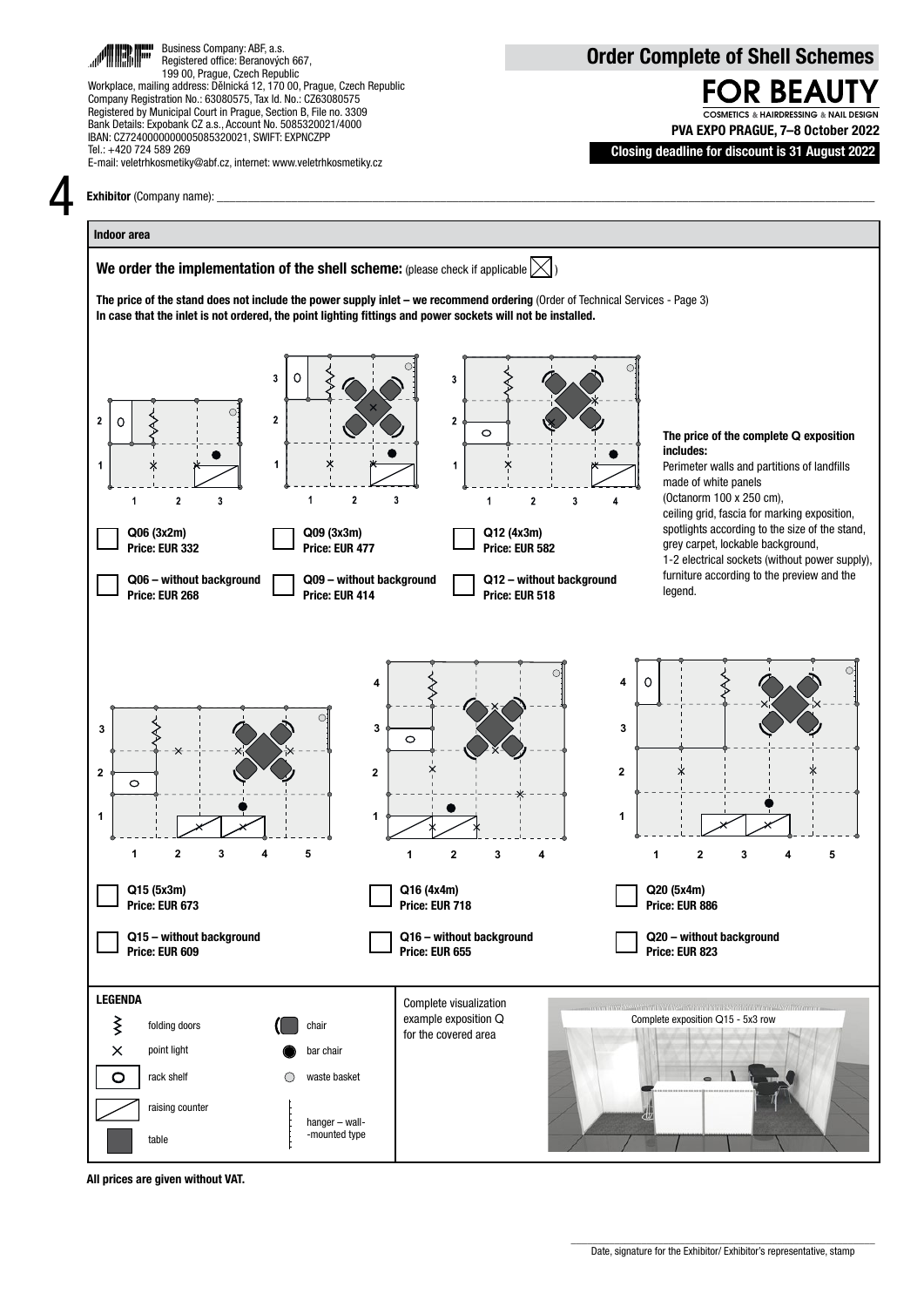

All prices are given without VAT.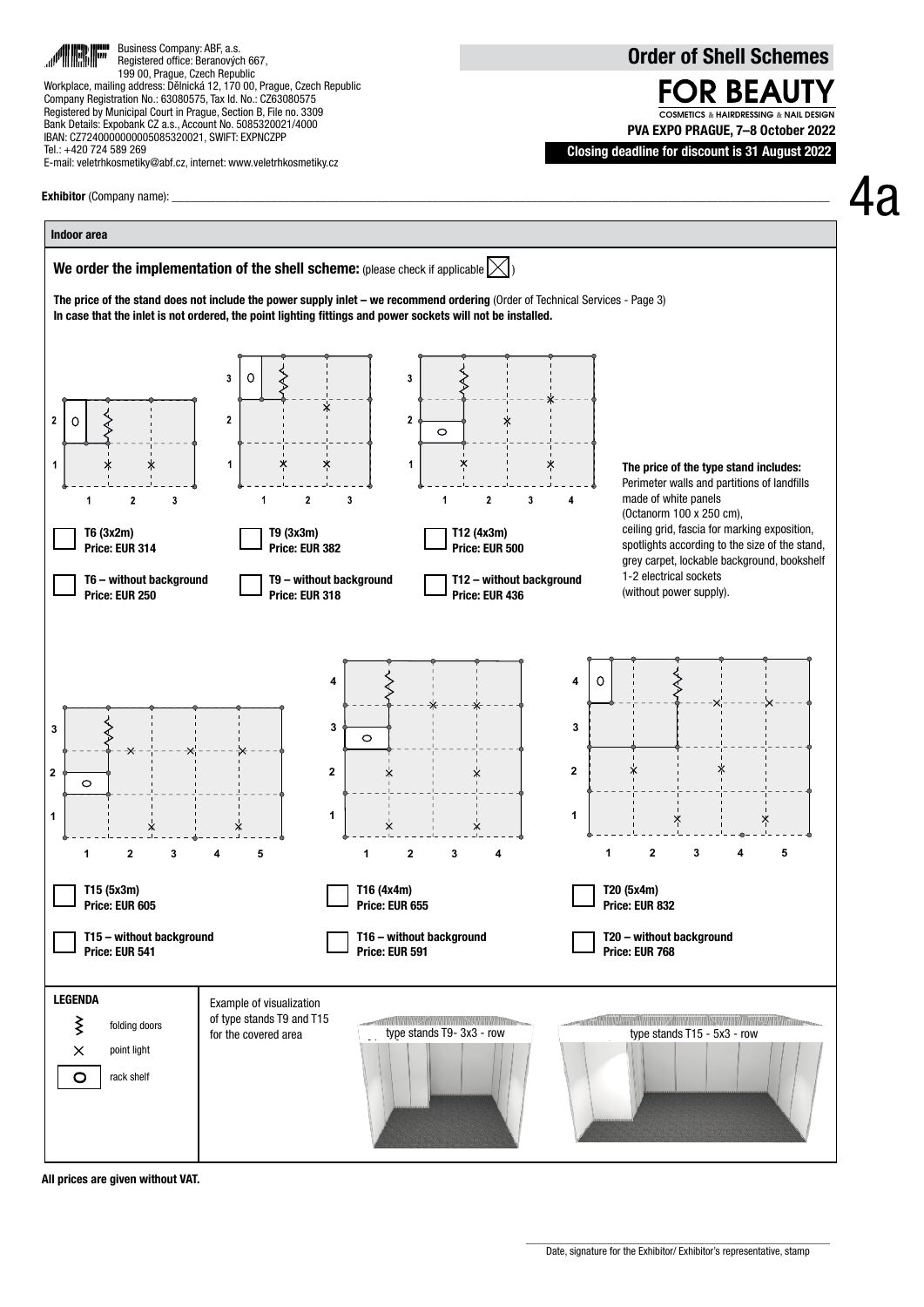

All prices are given without VAT.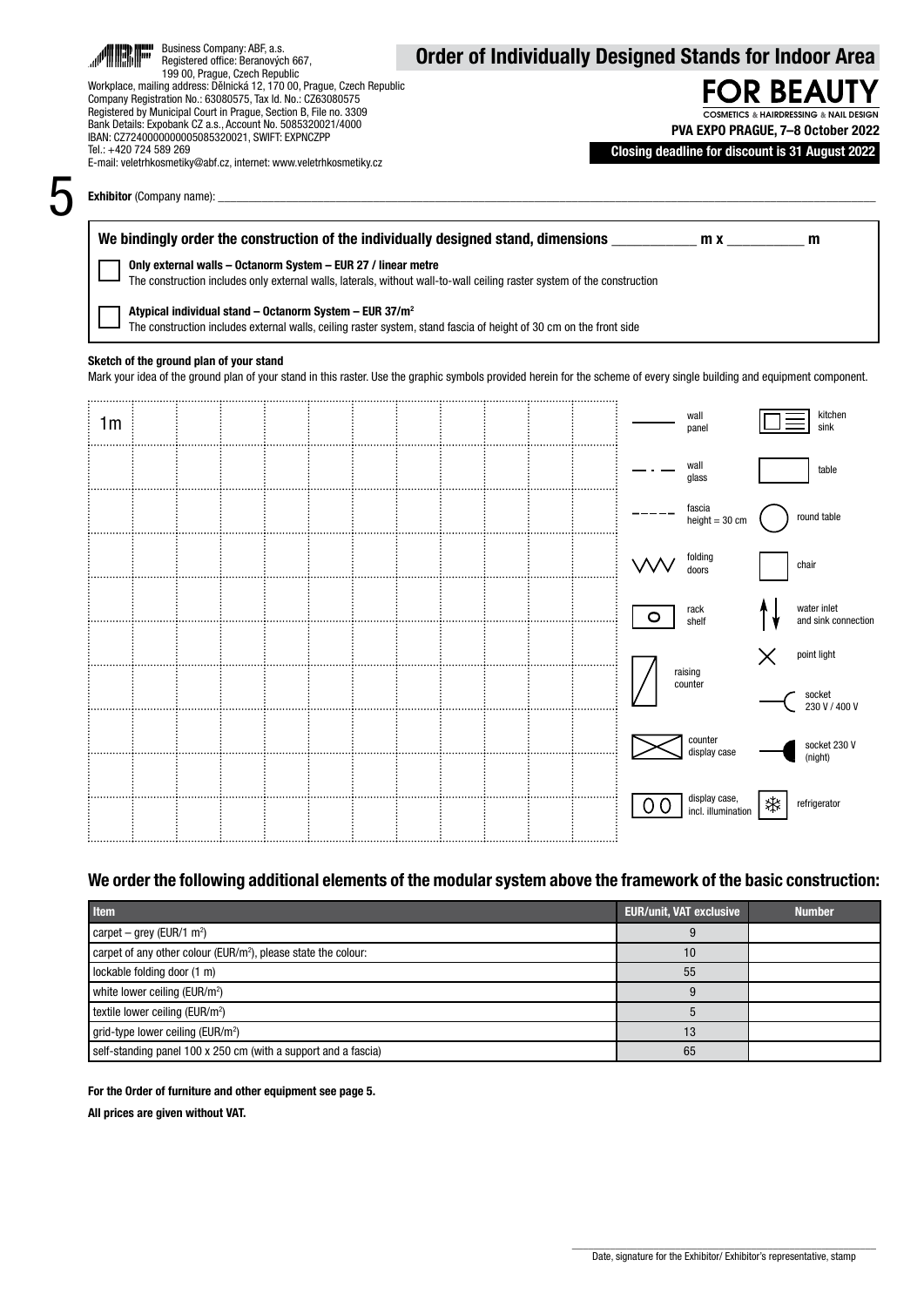| 91                     |                                         | Business Company: ABF, a.s.<br>Registered office: Beranových 667,<br>199 00, Prague, Czech Republic |                                                                                                                                                                                                                                                                                                                                                                                                     |  |  | <b>Order of Individually Designed Stands for Indoor Area</b>                                                                                                             |                    |                                                                                                                 |
|------------------------|-----------------------------------------|-----------------------------------------------------------------------------------------------------|-----------------------------------------------------------------------------------------------------------------------------------------------------------------------------------------------------------------------------------------------------------------------------------------------------------------------------------------------------------------------------------------------------|--|--|--------------------------------------------------------------------------------------------------------------------------------------------------------------------------|--------------------|-----------------------------------------------------------------------------------------------------------------|
| Tel.: +420 724 589 269 |                                         |                                                                                                     | Workplace, mailing address: Dělnická 12, 170 00, Prague, Czech Republic<br>Company Registration No.: 63080575, Tax Id. No.: CZ63080575<br>Registered by Municipal Court in Prague, Section B, File no. 3309<br>Bank Details: Expobank CZ a.s., Account No. 5085320021/4000<br>IBAN: CZ7240000000005085320021, SWIFT: EXPNCZPP<br>E-mail: veletrhkosmetiky@abf.cz, internet: www.veletrhkosmetiky.cz |  |  | Closing deadline for discount is 31 August 2022                                                                                                                          |                    | <b>FOR BEAUTY</b><br><b>COSMETICS &amp; HAIRDRESSING &amp; NAIL DESIGN</b><br>PVA EXPO PRAGUE, 7-8 October 2022 |
|                        |                                         |                                                                                                     |                                                                                                                                                                                                                                                                                                                                                                                                     |  |  |                                                                                                                                                                          |                    |                                                                                                                 |
|                        |                                         |                                                                                                     | Only external walls - Octanorm System - EUR 27 / linear metre                                                                                                                                                                                                                                                                                                                                       |  |  | We bindingly order the construction of the individually designed stand, dimensions $\blacksquare$ m x $\blacksquare$ m                                                   |                    |                                                                                                                 |
|                        |                                         |                                                                                                     | The construction includes only external walls, laterals, without wall-to-wall ceiling raster system of the construction                                                                                                                                                                                                                                                                             |  |  |                                                                                                                                                                          |                    |                                                                                                                 |
|                        |                                         |                                                                                                     | Atypical individual stand - Octanorm System - EUR 37/m <sup>2</sup><br>The construction includes external walls, ceiling raster system, stand fascia of height of 30 cm on the front side                                                                                                                                                                                                           |  |  |                                                                                                                                                                          |                    |                                                                                                                 |
|                        | Sketch of the ground plan of your stand |                                                                                                     |                                                                                                                                                                                                                                                                                                                                                                                                     |  |  |                                                                                                                                                                          |                    |                                                                                                                 |
|                        |                                         |                                                                                                     |                                                                                                                                                                                                                                                                                                                                                                                                     |  |  | Mark your idea of the ground plan of your stand in this raster. Use the graphic symbols provided herein for the scheme of every single building and equipment component. |                    |                                                                                                                 |
| 1 <sub>m</sub>         |                                         |                                                                                                     |                                                                                                                                                                                                                                                                                                                                                                                                     |  |  | wall<br>panel                                                                                                                                                            |                    | kitchen<br>sink                                                                                                 |
|                        |                                         |                                                                                                     |                                                                                                                                                                                                                                                                                                                                                                                                     |  |  | wall<br>glass                                                                                                                                                            |                    | table                                                                                                           |
|                        |                                         |                                                                                                     |                                                                                                                                                                                                                                                                                                                                                                                                     |  |  | fascia                                                                                                                                                                   | height $=$ 30 cm   | round table                                                                                                     |
|                        |                                         |                                                                                                     |                                                                                                                                                                                                                                                                                                                                                                                                     |  |  | folding<br>doors                                                                                                                                                         |                    | chair                                                                                                           |
|                        |                                         |                                                                                                     | in the contract of the contract of the contract of the contract of the contract of the contract of the contract                                                                                                                                                                                                                                                                                     |  |  | rack<br>O<br>shelf                                                                                                                                                       |                    | water inlet<br>and sink connection                                                                              |
|                        |                                         |                                                                                                     |                                                                                                                                                                                                                                                                                                                                                                                                     |  |  |                                                                                                                                                                          |                    | point light                                                                                                     |
|                        |                                         |                                                                                                     |                                                                                                                                                                                                                                                                                                                                                                                                     |  |  | raising<br>counter                                                                                                                                                       |                    | socket<br>230 V / 400 V                                                                                         |
|                        |                                         |                                                                                                     |                                                                                                                                                                                                                                                                                                                                                                                                     |  |  | counter<br>display case                                                                                                                                                  |                    | socket 230 V<br>(night)                                                                                         |
|                        |                                         |                                                                                                     |                                                                                                                                                                                                                                                                                                                                                                                                     |  |  | display case,                                                                                                                                                            |                    |                                                                                                                 |
|                        |                                         |                                                                                                     |                                                                                                                                                                                                                                                                                                                                                                                                     |  |  |                                                                                                                                                                          | incl. illumination | ₩<br>refrigerator                                                                                               |
|                        |                                         |                                                                                                     |                                                                                                                                                                                                                                                                                                                                                                                                     |  |  |                                                                                                                                                                          |                    |                                                                                                                 |

## We order the following additional elements of the modular system above the framework of the basic construction:

| <b>Item</b>                                                                | <b>EUR/unit, VAT exclusive</b> | <b>Number</b> |
|----------------------------------------------------------------------------|--------------------------------|---------------|
| carpet – grey (EUR/1 m <sup>2</sup> )                                      |                                |               |
| carpet of any other colour (EUR/m <sup>2</sup> ), please state the colour: | 10                             |               |
| lockable folding door (1 m)                                                | 55                             |               |
| white lower ceiling (EUR/m <sup>2</sup> )                                  |                                |               |
| textile lower ceiling (EUR/m <sup>2</sup> )                                |                                |               |
| grid-type lower ceiling (EUR/m <sup>2</sup> )                              | 13                             |               |
| self-standing panel 100 x 250 cm (with a support and a fascia)             | 65                             |               |

### For the Order of furniture and other equipment see page 5.

All prices are given without VAT.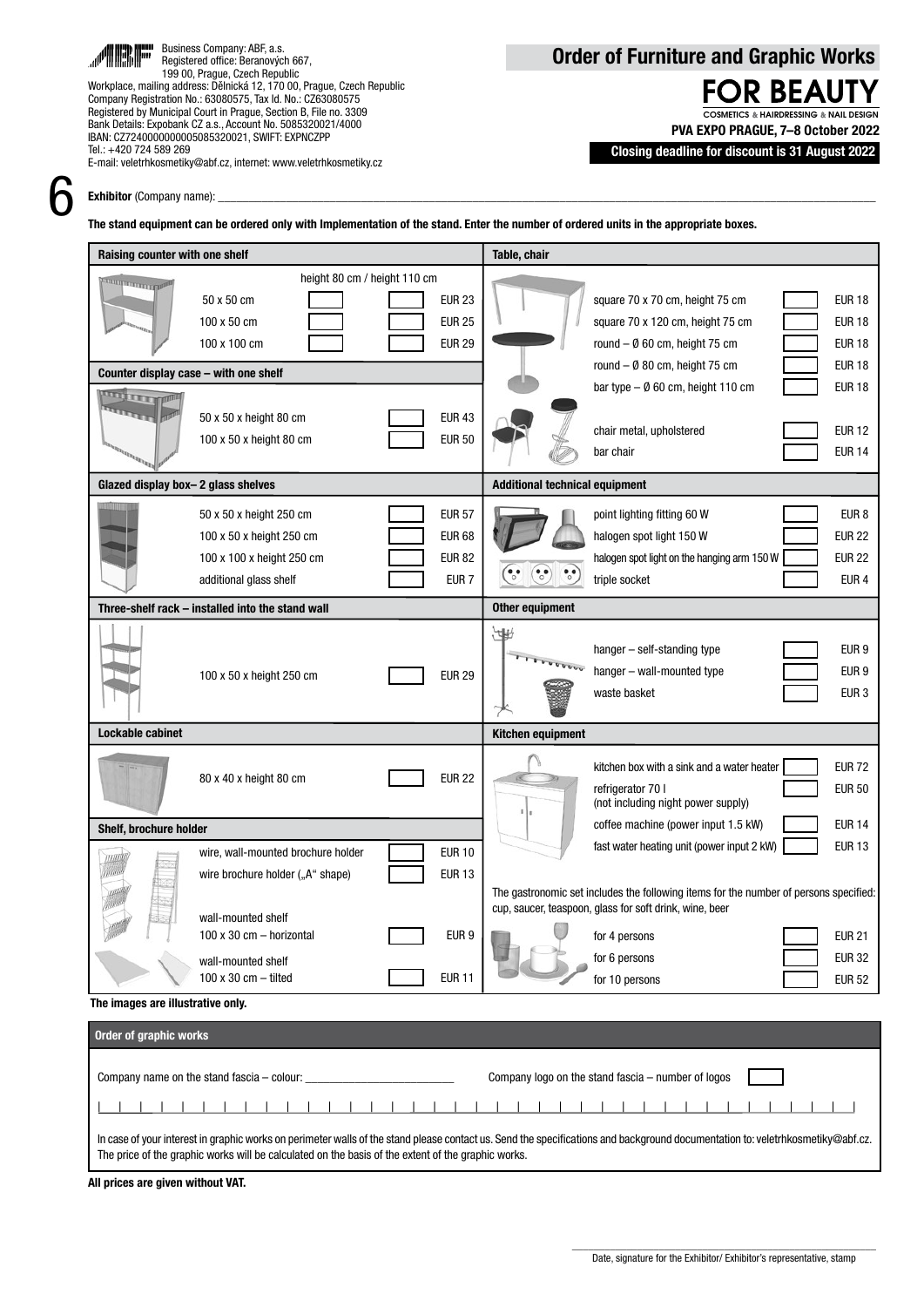

Business Company: ABF, a.s. Registered office: Beranových 667, 199 00, Prague, Czech Republic Workplace, mailing address: Dělnická 12, 170 00, Prague, Czech Republic

Company Registration No.: 63080575, Tax Id. No.: CZ63080575 Registered by Municipal Court in Prague, Section B, File no. 3309 Bank Details: Expobank CZ a.s., Account No. 5085320021/4000 IBAN: CZ7240000000005085320021, SWIFT: EXPNCZPP Tel.: +420 724 589 269 E-mail: veletrhkosmetiky@abf.cz, internet: www.veletrhkosmetiky.cz

## Order of Furniture and Graphic Works

# **FOR BEAUTY**

**COSMETICS & HAIRDRESSING & NAIL DESIGN** 

PVA EXPO PRAGUE, 7–8 October 2022

Closing deadline for discount is 31 August 2022

Exhibitor (Company name):

6

The stand equipment can be ordered only with Implementation of the stand. Enter the number of ordered units in the appropriate boxes.

| Raising counter with one shelf           |                                                                                                            |  | Table, chair                                                        |                                       |                                                                                                                                                  |                                                                        |  |  |
|------------------------------------------|------------------------------------------------------------------------------------------------------------|--|---------------------------------------------------------------------|---------------------------------------|--------------------------------------------------------------------------------------------------------------------------------------------------|------------------------------------------------------------------------|--|--|
| <b>THE PROPERTY OF PERSONAL PROPERTY</b> | height 80 cm / height 110 cm<br>50 x 50 cm<br>100 x 50 cm<br>100 x 100 cm                                  |  | <b>EUR 23</b><br><b>EUR 25</b><br><b>EUR 29</b>                     |                                       | square 70 x 70 cm, height 75 cm<br>square 70 x 120 cm, height 75 cm<br>round $-$ Ø 60 cm, height 75 cm<br>round $-$ Ø 80 cm, height 75 cm        | <b>EUR 18</b><br><b>EUR 18</b><br><b>EUR 18</b><br><b>EUR 18</b>       |  |  |
| Counter display case - with one shelf    |                                                                                                            |  |                                                                     |                                       |                                                                                                                                                  | <b>EUR 18</b>                                                          |  |  |
| <b>UTTLETTE STATE</b>                    | 50 x 50 x height 80 cm<br>100 x 50 x height 80 cm                                                          |  | <b>EUR 43</b><br><b>EUR 50</b>                                      |                                       | bar type $-$ Ø 60 cm, height 110 cm<br>chair metal, upholstered<br>bar chair                                                                     | <b>EUR 12</b><br><b>EUR 14</b>                                         |  |  |
| Glazed display box-2 glass shelves       |                                                                                                            |  |                                                                     | <b>Additional technical equipment</b> |                                                                                                                                                  |                                                                        |  |  |
|                                          | 50 x 50 x height 250 cm<br>100 x 50 x height 250 cm<br>100 x 100 x height 250 cm<br>additional glass shelf |  | <b>EUR 57</b><br><b>EUR 68</b><br><b>EUR 82</b><br>EUR <sub>7</sub> |                                       | point lighting fitting 60 W<br>halogen spot light 150 W<br>halogen spot light on the hanging arm 150 W<br>triple socket                          | EUR <sub>8</sub><br><b>EUR 22</b><br><b>EUR 22</b><br>EUR <sub>4</sub> |  |  |
|                                          | Three-shelf rack – installed into the stand wall                                                           |  |                                                                     | Other equipment                       |                                                                                                                                                  |                                                                        |  |  |
|                                          | 100 x 50 x height 250 cm                                                                                   |  | <b>EUR 29</b>                                                       | 冲                                     | hanger - self-standing type<br>hanger - wall-mounted type<br>waste basket                                                                        | EUR <sub>9</sub><br>EUR <sub>9</sub><br>EUR <sub>3</sub>               |  |  |
| Lockable cabinet                         |                                                                                                            |  |                                                                     | Kitchen equipment                     |                                                                                                                                                  |                                                                        |  |  |
|                                          | 80 x 40 x height 80 cm                                                                                     |  | <b>EUR 22</b>                                                       | $1 _1$                                | kitchen box with a sink and a water heater<br>refrigerator 70 l<br>(not including night power supply)                                            | <b>EUR 72</b><br><b>EUR 50</b>                                         |  |  |
| Shelf, brochure holder                   |                                                                                                            |  |                                                                     |                                       | coffee machine (power input 1.5 kW)                                                                                                              | <b>EUR 14</b>                                                          |  |  |
|                                          | wire, wall-mounted brochure holder<br>wire brochure holder ("A" shape)                                     |  | <b>EUR 10</b><br><b>EUR 13</b>                                      |                                       | fast water heating unit (power input 2 kW)                                                                                                       | <b>EUR 13</b>                                                          |  |  |
|                                          | wall-mounted shelf                                                                                         |  |                                                                     |                                       | The gastronomic set includes the following items for the number of persons specified:<br>cup, saucer, teaspoon, glass for soft drink, wine, beer |                                                                        |  |  |
|                                          | $100 \times 30$ cm $-$ horizontal                                                                          |  | EUR 9                                                               |                                       | for 4 persons                                                                                                                                    | <b>EUR 21</b>                                                          |  |  |
|                                          | wall-mounted shelf<br>100 x 30 cm $-$ tilted                                                               |  | <b>EUR 11</b>                                                       |                                       | for 6 persons<br>for 10 persons                                                                                                                  | <b>EUR 32</b><br><b>EUR 52</b>                                         |  |  |
| The images are illustrative only.        |                                                                                                            |  |                                                                     |                                       |                                                                                                                                                  |                                                                        |  |  |
| Order of graphic works                   |                                                                                                            |  |                                                                     |                                       |                                                                                                                                                  |                                                                        |  |  |
|                                          | Company name on the stand fascia - colour:                                                                 |  |                                                                     |                                       | Company logo on the stand fascia - number of logos                                                                                               |                                                                        |  |  |
|                                          |                                                                                                            |  |                                                                     |                                       |                                                                                                                                                  |                                                                        |  |  |

In case of your interest in graphic works on perimeter walls of the stand please contact us. Send the specifications and background documentation to: veletrhkosmetiky@abf.cz. The price of the graphic works will be calculated on the basis of the extent of the graphic works.

All prices are given without VAT.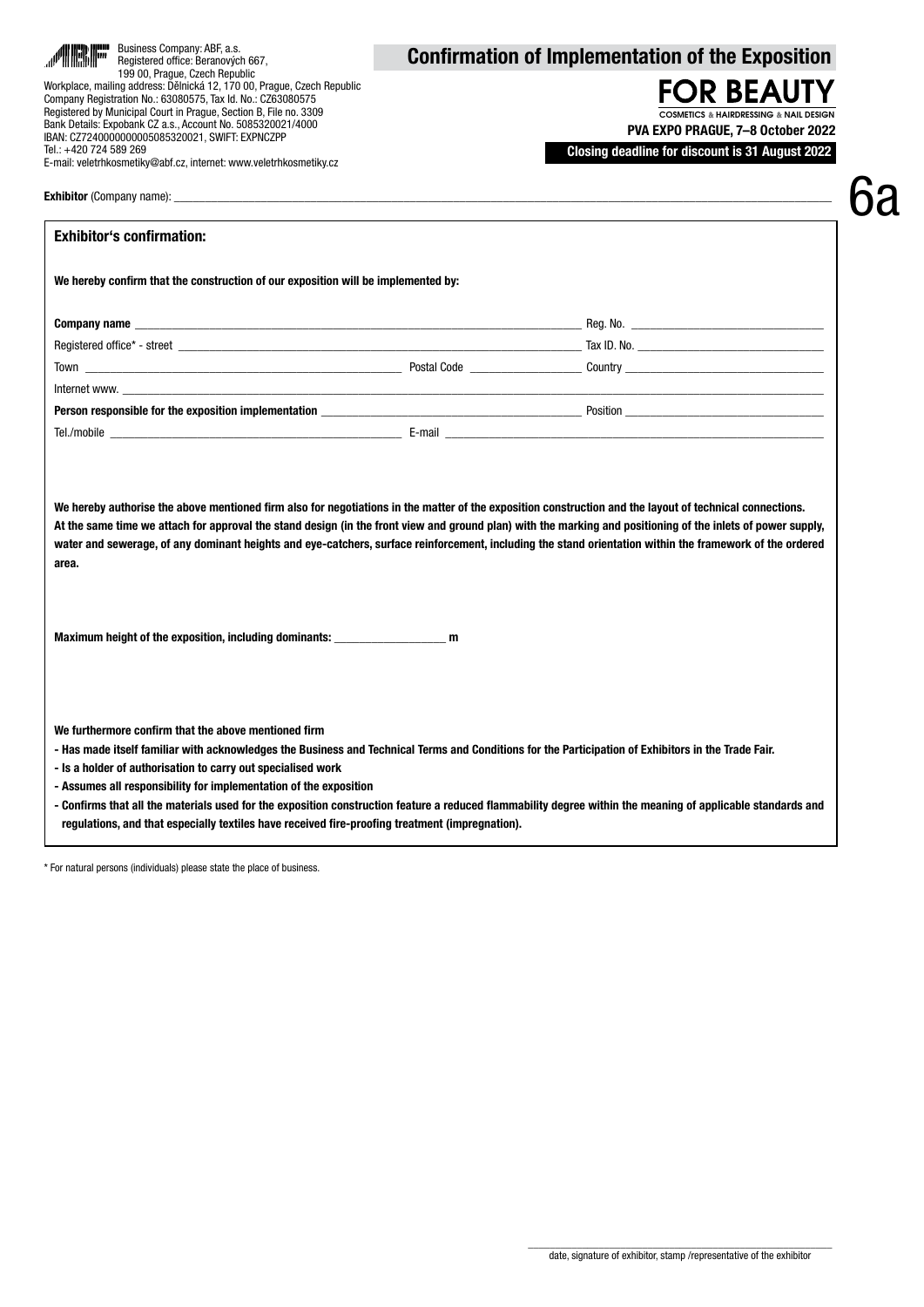| Business Company: ABF, a.s.<br>Registered office: Beranových 667,                                                                                                                                                                                                                                                                                                                                                                                                                                                                                                                                                  |                                                                            | <b>Confirmation of Implementation of the Exposition</b>                                                                                                            |  |
|--------------------------------------------------------------------------------------------------------------------------------------------------------------------------------------------------------------------------------------------------------------------------------------------------------------------------------------------------------------------------------------------------------------------------------------------------------------------------------------------------------------------------------------------------------------------------------------------------------------------|----------------------------------------------------------------------------|--------------------------------------------------------------------------------------------------------------------------------------------------------------------|--|
| 199 00, Praque, Czech Republic<br>Workplace, mailing address: Dělnická 12, 170 00, Prague, Czech Republic<br>Company Registration No.: 63080575, Tax Id. No.: CZ63080575<br>Registered by Municipal Court in Prague, Section B, File no. 3309<br>Bank Details: Expobank CZ a.s., Account No. 5085320021/4000<br>IBAN: CZ7240000000005085320021, SWIFT: EXPNCZPP<br>Tel.: +420 724 589 269<br>E-mail: veletrhkosmetiky@abf.cz, internet: www.veletrhkosmetiky.cz                                                                                                                                                    |                                                                            | <b>FOR BEAUTY</b><br><b>COSMETICS &amp; HAIRDRESSING &amp; NAIL DESIGN</b><br>PVA EXPO PRAGUE, 7-8 October 2022<br>Closing deadline for discount is 31 August 2022 |  |
| <b>Exhibitor</b> (Company name): Laterature and the second service of the service of the service of the service of the service of the service of the service of the service of the service of the service of the service of the ser                                                                                                                                                                                                                                                                                                                                                                                |                                                                            |                                                                                                                                                                    |  |
| <b>Exhibitor's confirmation:</b>                                                                                                                                                                                                                                                                                                                                                                                                                                                                                                                                                                                   |                                                                            |                                                                                                                                                                    |  |
| We hereby confirm that the construction of our exposition will be implemented by:                                                                                                                                                                                                                                                                                                                                                                                                                                                                                                                                  |                                                                            |                                                                                                                                                                    |  |
|                                                                                                                                                                                                                                                                                                                                                                                                                                                                                                                                                                                                                    |                                                                            |                                                                                                                                                                    |  |
| Registered office* - street and the street and the street and the street and the street and the street and the street and the street and the street and the street and the street and the street and the street and the street                                                                                                                                                                                                                                                                                                                                                                                     |                                                                            |                                                                                                                                                                    |  |
|                                                                                                                                                                                                                                                                                                                                                                                                                                                                                                                                                                                                                    |                                                                            |                                                                                                                                                                    |  |
| Internet www.                                                                                                                                                                                                                                                                                                                                                                                                                                                                                                                                                                                                      | the control of the control of the control of the control of the control of |                                                                                                                                                                    |  |
| <b>Person responsible for the exposition implementation CONSUMPLE 2008 THE CONSUMPLE 2008 THE CONSUMPLE 2009 THE CONSUMPLE 2009 THE CONSUMPLE 2009 THE CONSUMPLE 2009 THE CONSUMPLE 2009 THE CONSUMPLE 2009 THE CONSUMPLE 2009</b>                                                                                                                                                                                                                                                                                                                                                                                 |                                                                            |                                                                                                                                                                    |  |
|                                                                                                                                                                                                                                                                                                                                                                                                                                                                                                                                                                                                                    |                                                                            |                                                                                                                                                                    |  |
| We hereby authorise the above mentioned firm also for negotiations in the matter of the exposition construction and the layout of technical connections.<br>At the same time we attach for approval the stand design (in the front view and ground plan) with the marking and positioning of the inlets of power supply,<br>water and sewerage, of any dominant heights and eye-catchers, surface reinforcement, including the stand orientation within the framework of the ordered<br>area.                                                                                                                      |                                                                            |                                                                                                                                                                    |  |
| Maximum height of the exposition, including dominants: __________________________ m                                                                                                                                                                                                                                                                                                                                                                                                                                                                                                                                |                                                                            |                                                                                                                                                                    |  |
| We furthermore confirm that the above mentioned firm<br>- Has made itself familiar with acknowledges the Business and Technical Terms and Conditions for the Participation of Exhibitors in the Trade Fair.<br>- Is a holder of authorisation to carry out specialised work<br>- Assumes all responsibility for implementation of the exposition<br>- Confirms that all the materials used for the exposition construction feature a reduced flammability degree within the meaning of applicable standards and<br>regulations, and that especially textiles have received fire-proofing treatment (impregnation). |                                                                            |                                                                                                                                                                    |  |

\* For natural persons (individuals) please state the place of business.